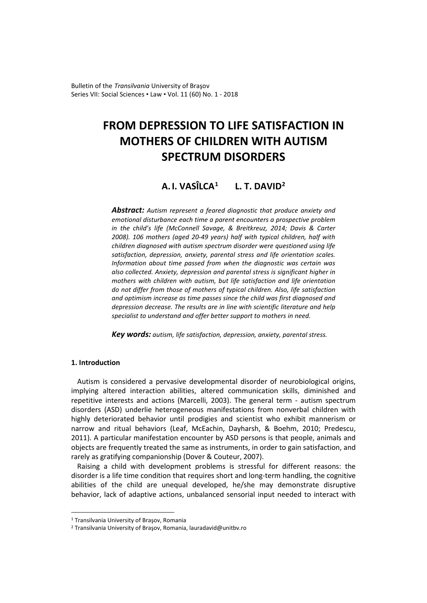Bulletin of the *Transilvania* University of Braşov Series VII: Social Sciences • Law • Vol. 11 (60) No. 1 - 2018

# **FROM DEPRESSION TO LIFE SATISFACTION IN MOTHERS OF CHILDREN WITH AUTISM SPECTRUM DISORDERS**

# **A. I. VASÎLCA[1](#page-0-0) L. T. DAVID[2](#page-0-1)**

*Abstract: Autism represent a feared diagnostic that produce anxiety and emotional disturbance each time a parent encounters a prospective problem in the child's life (McConnell Savage, & Breitkreuz, 2014; Davis & Carter 2008). 106 mothers (aged 20-49 years) half with typical children, half with children diagnosed with autism spectrum disorder were questioned using life satisfaction, depression, anxiety, parental stress and life orientation scales. Information about time passed from when the diagnostic was certain was also collected. Anxiety, depression and parental stress is significant higher in mothers with children with autism, but life satisfaction and life orientation do not differ from those of mothers of typical children. Also, life satisfaction and optimism increase as time passes since the child was first diagnosed and depression decrease. The results are in line with scientific literature and help specialist to understand and offer better support to mothers in need.*

*Key words: autism, life satisfaction, depression, anxiety, parental stress.*

## **1. Introduction**

 $\overline{a}$ 

Autism is considered a pervasive developmental disorder of neurobiological origins, implying altered interaction abilities, altered communication skills, diminished and repetitive interests and actions (Marcelli, 2003). The general term - autism spectrum disorders (ASD) underlie heterogeneous manifestations from nonverbal children with highly deteriorated behavior until prodigies and scientist who exhibit mannerism or narrow and ritual behaviors (Leaf, McEachin, Dayharsh, & Boehm, 2010; Predescu, 2011). A particular manifestation encounter by ASD persons is that people, animals and objects are frequently treated the same as instruments, in order to gain satisfaction, and rarely as gratifying companionship (Dover & Couteur, 2007).

Raising a child with development problems is stressful for different reasons: the disorder is a life time condition that requires short and long-term handling, the cognitive abilities of the child are unequal developed, he/she may demonstrate disruptive behavior, lack of adaptive actions, unbalanced sensorial input needed to interact with

<span id="page-0-0"></span><sup>1</sup> Transilvania University of Braşov, Romania

<span id="page-0-1"></span><sup>2</sup> Transilvania University of Braşov, Romania, lauradavid@unitbv.ro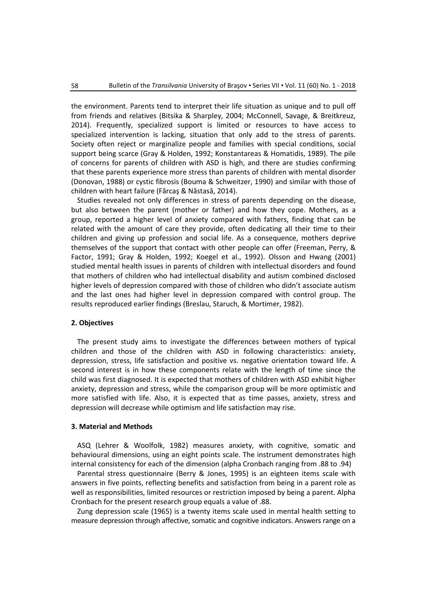the environment. Parents tend to interpret their life situation as unique and to pull off from friends and relatives (Bitsika & Sharpley, 2004; McConnell, Savage, & Breitkreuz, 2014). Frequently, specialized support is limited or resources to have access to specialized intervention is lacking, situation that only add to the stress of parents. Society often reject or marginalize people and families with special conditions, social support being scarce (Gray & Holden, 1992; Konstantareas & Homatidis, 1989). The pile of concerns for parents of children with ASD is high, and there are studies confirming that these parents experience more stress than parents of children with mental disorder (Donovan, 1988) or cystic fibrosis (Bouma & Schweitzer, 1990) and similar with those of children with heart failure (Fărcaş & Năstasă, 2014).

Studies revealed not only differences in stress of parents depending on the disease, but also between the parent (mother or father) and how they cope. Mothers, as a group, reported a higher level of anxiety compared with fathers, finding that can be related with the amount of care they provide, often dedicating all their time to their children and giving up profession and social life. As a consequence, mothers deprive themselves of the support that contact with other people can offer (Freeman, Perry, & Factor, 1991; Gray & Holden, 1992; Koegel et al., 1992). Olsson and Hwang (2001) studied mental health issues in parents of children with intellectual disorders and found that mothers of children who had intellectual disability and autism combined disclosed higher levels of depression compared with those of children who didn't associate autism and the last ones had higher level in depression compared with control group. The results reproduced earlier findings (Breslau, Staruch, & Mortimer, 1982).

#### **2. Objectives**

The present study aims to investigate the differences between mothers of typical children and those of the children with ASD in following characteristics: anxiety, depression, stress, life satisfaction and positive vs. negative orientation toward life. A second interest is in how these components relate with the length of time since the child was first diagnosed. It is expected that mothers of children with ASD exhibit higher anxiety, depression and stress, while the comparison group will be more optimistic and more satisfied with life. Also, it is expected that as time passes, anxiety, stress and depression will decrease while optimism and life satisfaction may rise.

#### **3. Material and Methods**

ASQ (Lehrer & Woolfolk, 1982) measures anxiety, with cognitive, somatic and behavioural dimensions, using an eight points scale. The instrument demonstrates high internal consistency for each of the dimension (alpha Cronbach ranging from .88 to .94)

Parental stress questionnaire (Berry & Jones, 1995) is an eighteen items scale with answers in five points, reflecting benefits and satisfaction from being in a parent role as well as responsibilities, limited resources or restriction imposed by being a parent. Alpha Cronbach for the present research group equals a value of .88.

Zung depression scale (1965) is a twenty items scale used in mental health setting to measure depression through affective, somatic and cognitive indicators. Answers range on a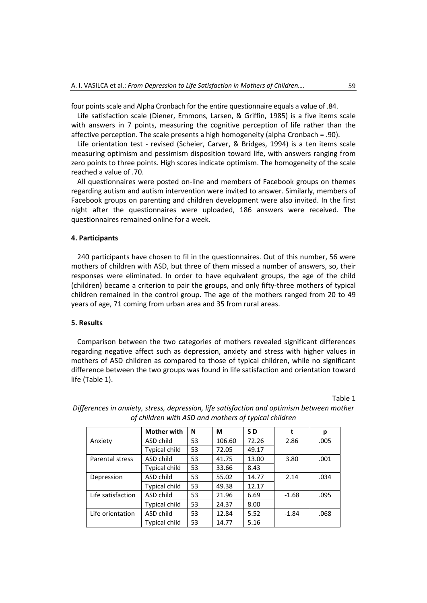four points scale and Alpha Cronbach for the entire questionnaire equals a value of .84.

Life satisfaction scale (Diener, Emmons, Larsen, & Griffin, 1985) is a five items scale with answers in 7 points, measuring the cognitive perception of life rather than the affective perception. The scale presents a high homogeneity (alpha Cronbach = .90).

Life orientation test - revised (Scheier, Carver, & Bridges, 1994) is a ten items scale measuring optimism and pessimism disposition toward life, with answers ranging from zero points to three points. High scores indicate optimism. The homogeneity of the scale reached a value of .70.

All questionnaires were posted on-line and members of Facebook groups on themes regarding autism and autism intervention were invited to answer. Similarly, members of Facebook groups on parenting and children development were also invited. In the first night after the questionnaires were uploaded, 186 answers were received. The questionnaires remained online for a week.

# **4. Participants**

240 participants have chosen to fil in the questionnaires. Out of this number, 56 were mothers of children with ASD, but three of them missed a number of answers, so, their responses were eliminated. In order to have equivalent groups, the age of the child (children) became a criterion to pair the groups, and only fifty-three mothers of typical children remained in the control group. The age of the mothers ranged from 20 to 49 years of age, 71 coming from urban area and 35 from rural areas.

#### **5. Results**

Comparison between the two categories of mothers revealed significant differences regarding negative affect such as depression, anxiety and stress with higher values in mothers of ASD children as compared to those of typical children, while no significant difference between the two groups was found in life satisfaction and orientation toward life (Table 1).

Table 1

|                   | <b>Mother with</b>   | N  | М      | SD    | t       | р    |
|-------------------|----------------------|----|--------|-------|---------|------|
| Anxiety           | ASD child            | 53 | 106.60 | 72.26 | 2.86    | .005 |
|                   | <b>Typical child</b> | 53 | 72.05  | 49.17 |         |      |
| Parental stress   | ASD child            | 53 | 41.75  | 13.00 | 3.80    | .001 |
|                   | Typical child        | 53 | 33.66  | 8.43  |         |      |
| Depression        | ASD child            | 53 | 55.02  | 14.77 | 2.14    | .034 |
|                   | Typical child        | 53 | 49.38  | 12.17 |         |      |
| Life satisfaction | ASD child            | 53 | 21.96  | 6.69  | $-1.68$ | .095 |
|                   | <b>Typical child</b> | 53 | 24.37  | 8.00  |         |      |
| Life orientation  | ASD child            | 53 | 12.84  | 5.52  | $-1.84$ | .068 |
|                   | Typical child        | 53 | 14.77  | 5.16  |         |      |

*Differences in anxiety, stress, depression, life satisfaction and optimism between mother of children with ASD and mothers of typical children*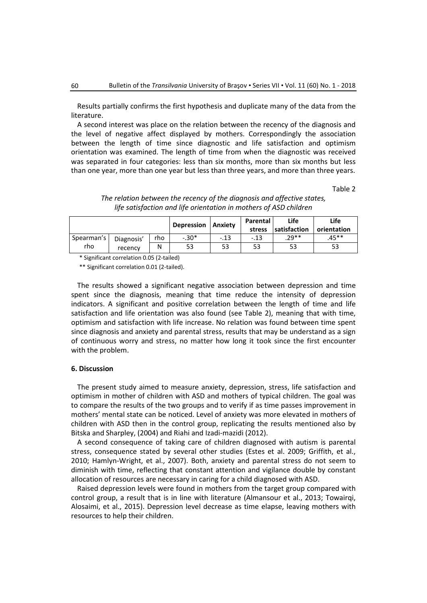Results partially confirms the first hypothesis and duplicate many of the data from the literature.

A second interest was place on the relation between the recency of the diagnosis and the level of negative affect displayed by mothers. Correspondingly the association between the length of time since diagnostic and life satisfaction and optimism orientation was examined. The length of time from when the diagnostic was received was separated in four categories: less than six months, more than six months but less than one year, more than one year but less than three years, and more than three years.

Table 2

|                   |                       |     | Depression | <b>Anxiety</b> | Parental<br>stress | Life<br><b>Isatisfaction</b> | Life<br>orientation |
|-------------------|-----------------------|-----|------------|----------------|--------------------|------------------------------|---------------------|
| Spearman's<br>rho | Diagnosis'<br>recency | rho | $-.30*$    | $-.13$         | $-.13$             | $.29**$                      | $.45**$             |
|                   |                       | N   | 53         | 53             | 53                 | 53                           | 53                  |

*The relation between the recency of the diagnosis and affective states, life satisfaction and life orientation in mothers of ASD children*

\* Significant correlation 0.05 (2-tailed)

\*\* Significant correlation 0.01 (2-tailed).

The results showed a significant negative association between depression and time spent since the diagnosis, meaning that time reduce the intensity of depression indicators. A significant and positive correlation between the length of time and life satisfaction and life orientation was also found (see Table 2), meaning that with time, optimism and satisfaction with life increase. No relation was found between time spent since diagnosis and anxiety and parental stress, results that may be understand as a sign of continuous worry and stress, no matter how long it took since the first encounter with the problem.

#### **6. Discussion**

The present study aimed to measure anxiety, depression, stress, life satisfaction and optimism in mother of children with ASD and mothers of typical children. The goal was to compare the results of the two groups and to verify if as time passes improvement in mothers' mental state can be noticed. Level of anxiety was more elevated in mothers of children with ASD then in the control group, replicating the results mentioned also by Bitska and Sharpley, (2004) and Riahi and Izadi-mazidi (2012).

A second consequence of taking care of children diagnosed with autism is parental stress, consequence stated by several other studies (Estes et al. 2009; Griffith, et al., 2010; Hamlyn-Wright, et al., 2007). Both, anxiety and parental stress do not seem to diminish with time, reflecting that constant attention and vigilance double by constant allocation of resources are necessary in caring for a child diagnosed with ASD.

Raised depression levels were found in mothers from the target group compared with control group, a result that is in line with literature (Almansour et al., 2013; Towairqi, Alosaimi, et al., 2015). Depression level decrease as time elapse, leaving mothers with resources to help their children.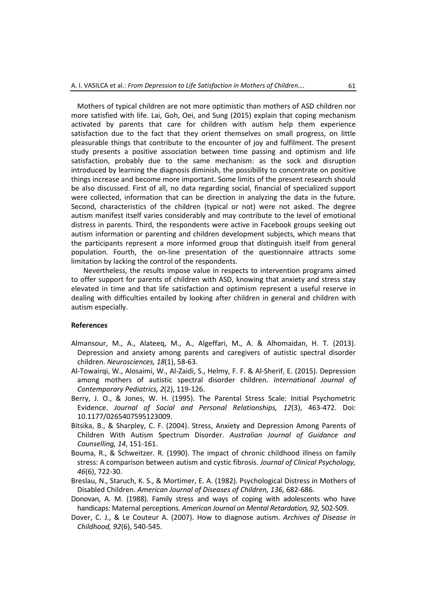Mothers of typical children are not more optimistic than mothers of ASD children nor more satisfied with life. Lai, Goh, Oei, and Sung (2015) explain that coping mechanism activated by parents that care for children with autism help them experience satisfaction due to the fact that they orient themselves on small progress, on little pleasurable things that contribute to the encounter of joy and fulfilment. The present study presents a positive association between time passing and optimism and life satisfaction, probably due to the same mechanism: as the sock and disruption introduced by learning the diagnosis diminish, the possibility to concentrate on positive things increase and become more important. Some limits of the present research should be also discussed. First of all, no data regarding social, financial of specialized support were collected, information that can be direction in analyzing the data in the future. Second, characteristics of the children (typical or not) were not asked. The degree autism manifest itself varies considerably and may contribute to the level of emotional distress in parents. Third, the respondents were active in Facebook groups seeking out autism information or parenting and children development subjects, which means that the participants represent a more informed group that distinguish itself from general population. Fourth, the on-line presentation of the questionnaire attracts some limitation by lacking the control of the respondents.

Nevertheless, the results impose value in respects to intervention programs aimed to offer support for parents of children with ASD, knowing that anxiety and stress stay elevated in time and that life satisfaction and optimism represent a useful reserve in dealing with difficulties entailed by looking after children in general and children with autism especially.

## **References**

- Almansour, M., A., Alateeq, M., A., Algeffari, M., A. & Alhomaidan, H. T. (2013). Depression and anxiety among parents and caregivers of autistic spectral disorder children. *Neurosciences, 18*(1), 58-63.
- Al-Towairqi, W., Alosaimi, W., Al-Zaidi, S., Helmy, F. F. & Al-Sherif, E. (2015). Depression among mothers of autistic spectral disorder children. *International Journal of Contemporary Pediatrics, 2*(2), 119-126.
- Berry, J. O., & Jones, W. H. (1995). The Parental Stress Scale: Initial Psychometric Evidence. *Journal of Social and Personal Relationships, 12*(3), 463-472. Doi: 10.1177/0265407595123009.
- Bitsika, B., & Sharpley, C. F. (2004). Stress, Anxiety and Depression Among Parents of Children With Autism Spectrum Disorder. *Australian Journal of Guidance and Counselling, 14*, 151-161.
- Bouma, R., & Schweitzer. R. (1990). The impact of chronic childhood illness on family stress: A comparison between autism and cystic fibrosis. *Journal of Clinical Psychology, 46*(6), 722-30.
- Breslau, N., Staruch, K. S., & Mortimer, E. A. (1982). Psychological Distress in Mothers of Disabled Children. *American Journal of Diseases of Children, 136,* 682-686.
- Donovan, A. M. (1988). Family stress and ways of coping with adolescents who have handicaps: Maternal perceptions. *American Journal on Mental Retardation, 92,* 502-509.
- Dover, C. J., & Le Couteur A. (2007). How to diagnose autism. *Archives of Disease in Childhood, 92*(6), 540-545.